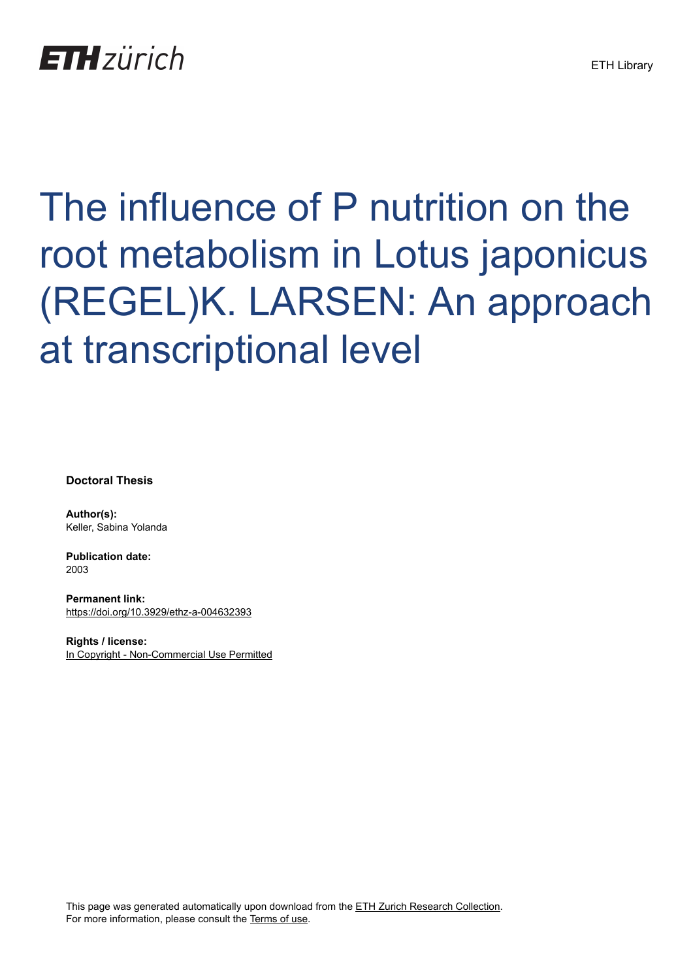## **ETH** zürich

# The influence of P nutrition on the root metabolism in Lotus japonicus (REGEL)K. LARSEN: An approach at transcriptional level

**Doctoral Thesis**

**Author(s):** Keller, Sabina Yolanda

**Publication date:** 2003

**Permanent link:** <https://doi.org/10.3929/ethz-a-004632393>

**Rights / license:** [In Copyright - Non-Commercial Use Permitted](http://rightsstatements.org/page/InC-NC/1.0/)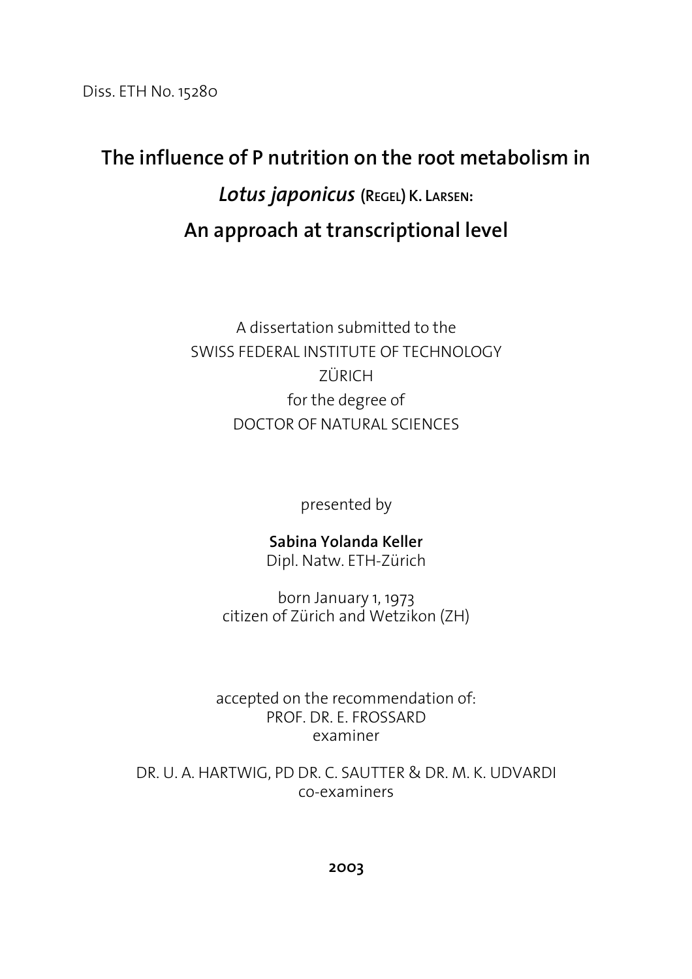Diss. ETH No. 15280

### **The influence of P nutrition on the root metabolism in**  *Lotus japonicus* **(REGEL) K. LARSEN: An approach at transcriptional level**

A dissertation submitted to the SWISS FEDERAL INSTITUTE OF TECHNOLOGY ZÜRICH for the degree of DOCTOR OF NATURAL SCIENCES

presented by

#### **Sabina Yolanda Keller**

Dipl. Natw. ETH-Zürich

born January 1, 1973 citizen of Zürich and Wetzikon (ZH)

accepted on the recommendation of: PROF. DR. E. FROSSARD examiner

DR. U. A. HARTWIG, PD DR. C. SAUTTER & DR. M. K. UDVARDI co-examiners

**2003**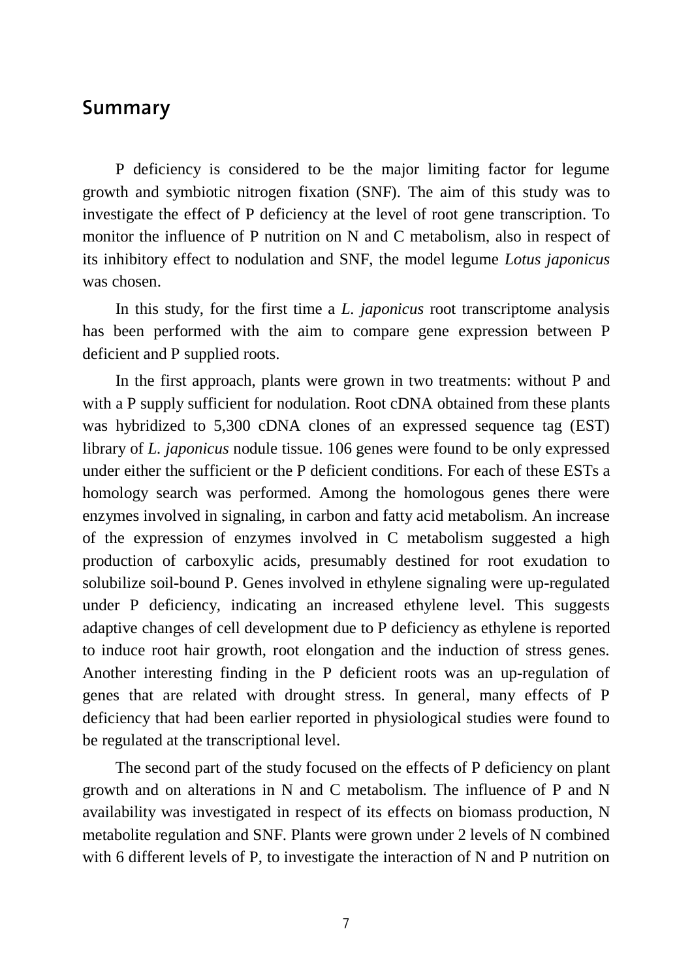#### **Summary**

P deficiency is considered to be the major limiting factor for legume growth and symbiotic nitrogen fixation (SNF). The aim of this study was to investigate the effect of P deficiency at the level of root gene transcription. To monitor the influence of P nutrition on N and C metabolism, also in respect of its inhibitory effect to nodulation and SNF, the model legume *Lotus japonicus* was chosen.

In this study, for the first time a *L. japonicus* root transcriptome analysis has been performed with the aim to compare gene expression between P deficient and P supplied roots.

In the first approach, plants were grown in two treatments: without P and with a P supply sufficient for nodulation. Root cDNA obtained from these plants was hybridized to 5,300 cDNA clones of an expressed sequence tag (EST) library of *L. japonicus* nodule tissue. 106 genes were found to be only expressed under either the sufficient or the P deficient conditions. For each of these ESTs a homology search was performed. Among the homologous genes there were enzymes involved in signaling, in carbon and fatty acid metabolism. An increase of the expression of enzymes involved in C metabolism suggested a high production of carboxylic acids, presumably destined for root exudation to solubilize soil-bound P. Genes involved in ethylene signaling were up-regulated under P deficiency, indicating an increased ethylene level. This suggests adaptive changes of cell development due to P deficiency as ethylene is reported to induce root hair growth, root elongation and the induction of stress genes. Another interesting finding in the P deficient roots was an up-regulation of genes that are related with drought stress. In general, many effects of P deficiency that had been earlier reported in physiological studies were found to be regulated at the transcriptional level.

The second part of the study focused on the effects of P deficiency on plant growth and on alterations in N and C metabolism. The influence of P and N availability was investigated in respect of its effects on biomass production, N metabolite regulation and SNF. Plants were grown under 2 levels of N combined with 6 different levels of P, to investigate the interaction of N and P nutrition on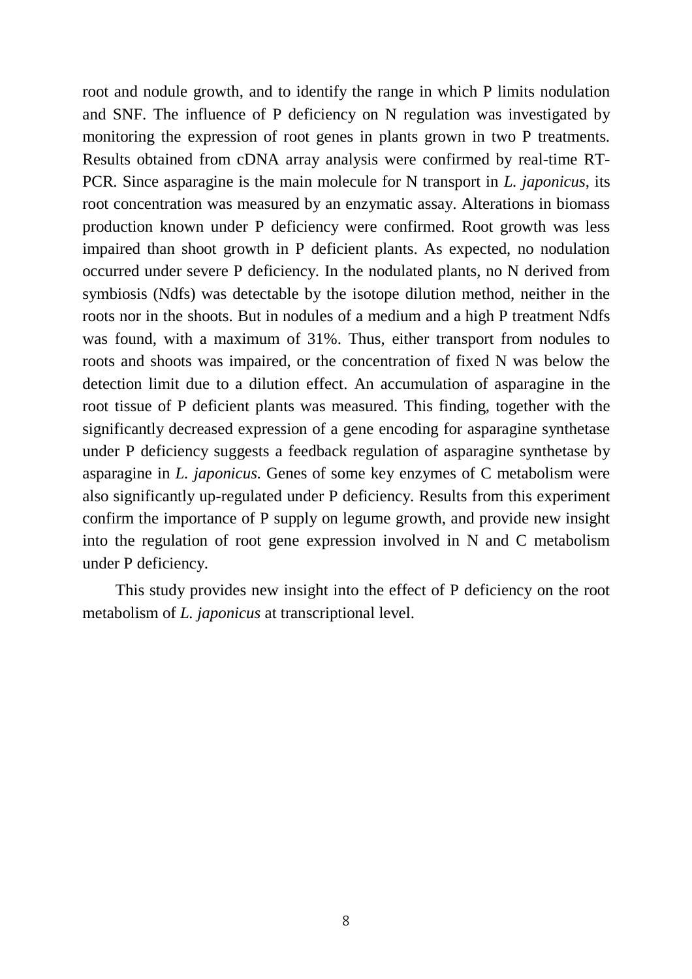root and nodule growth, and to identify the range in which P limits nodulation and SNF. The influence of P deficiency on N regulation was investigated by monitoring the expression of root genes in plants grown in two P treatments. Results obtained from cDNA array analysis were confirmed by real-time RT-PCR. Since asparagine is the main molecule for N transport in *L. japonicus*, its root concentration was measured by an enzymatic assay. Alterations in biomass production known under P deficiency were confirmed. Root growth was less impaired than shoot growth in P deficient plants. As expected, no nodulation occurred under severe P deficiency. In the nodulated plants, no N derived from symbiosis (Ndfs) was detectable by the isotope dilution method, neither in the roots nor in the shoots. But in nodules of a medium and a high P treatment Ndfs was found, with a maximum of 31%. Thus, either transport from nodules to roots and shoots was impaired, or the concentration of fixed N was below the detection limit due to a dilution effect. An accumulation of asparagine in the root tissue of P deficient plants was measured. This finding, together with the significantly decreased expression of a gene encoding for asparagine synthetase under P deficiency suggests a feedback regulation of asparagine synthetase by asparagine in *L. japonicus*. Genes of some key enzymes of C metabolism were also significantly up-regulated under P deficiency. Results from this experiment confirm the importance of P supply on legume growth, and provide new insight into the regulation of root gene expression involved in N and C metabolism under P deficiency.

This study provides new insight into the effect of P deficiency on the root metabolism of *L. japonicus* at transcriptional level.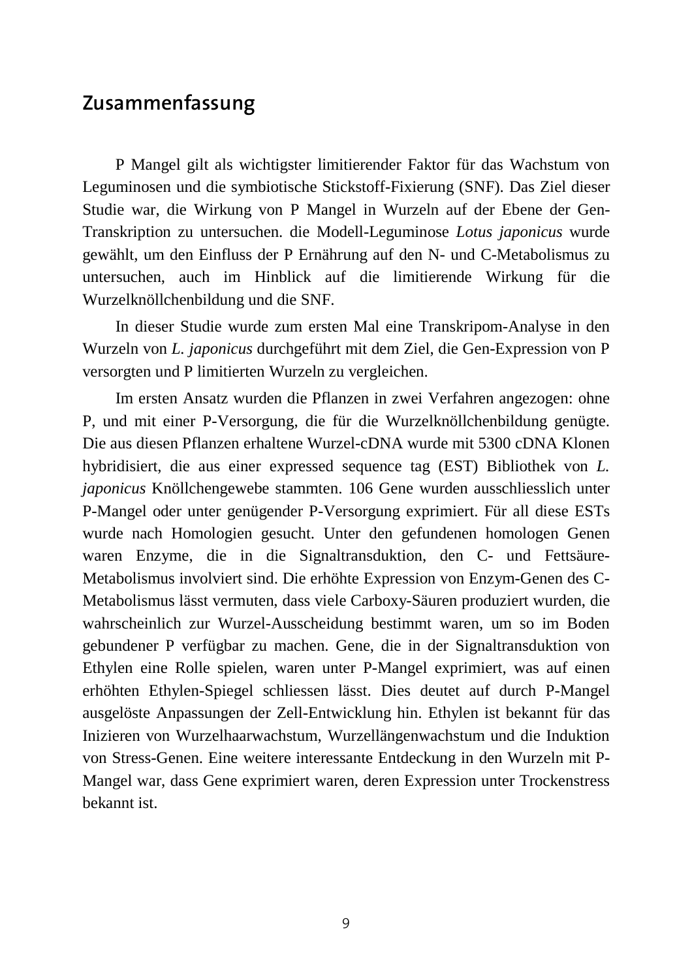#### **Zusammenfassung**

P Mangel gilt als wichtigster limitierender Faktor für das Wachstum von Leguminosen und die symbiotische Stickstoff-Fixierung (SNF). Das Ziel dieser Studie war, die Wirkung von P Mangel in Wurzeln auf der Ebene der Gen-Transkription zu untersuchen. die Modell-Leguminose *Lotus japonicus* wurde gewählt, um den Einfluss der P Ernährung auf den N- und C-Metabolismus zu untersuchen, auch im Hinblick auf die limitierende Wirkung für die Wurzelknöllchenbildung und die SNF.

In dieser Studie wurde zum ersten Mal eine Transkripom-Analyse in den Wurzeln von *L. japonicus* durchgeführt mit dem Ziel, die Gen-Expression von P versorgten und P limitierten Wurzeln zu vergleichen.

Im ersten Ansatz wurden die Pflanzen in zwei Verfahren angezogen: ohne P, und mit einer P-Versorgung, die für die Wurzelknöllchenbildung genügte. Die aus diesen Pflanzen erhaltene Wurzel-cDNA wurde mit 5300 cDNA Klonen hybridisiert, die aus einer expressed sequence tag (EST) Bibliothek von *L. japonicus* Knöllchengewebe stammten. 106 Gene wurden ausschliesslich unter P-Mangel oder unter genügender P-Versorgung exprimiert. Für all diese ESTs wurde nach Homologien gesucht. Unter den gefundenen homologen Genen waren Enzyme, die in die Signaltransduktion, den C- und Fettsäure-Metabolismus involviert sind. Die erhöhte Expression von Enzym-Genen des C-Metabolismus lässt vermuten, dass viele Carboxy-Säuren produziert wurden, die wahrscheinlich zur Wurzel-Ausscheidung bestimmt waren, um so im Boden gebundener P verfügbar zu machen. Gene, die in der Signaltransduktion von Ethylen eine Rolle spielen, waren unter P-Mangel exprimiert, was auf einen erhöhten Ethylen-Spiegel schliessen lässt. Dies deutet auf durch P-Mangel ausgelöste Anpassungen der Zell-Entwicklung hin. Ethylen ist bekannt für das Inizieren von Wurzelhaarwachstum, Wurzellängenwachstum und die Induktion von Stress-Genen. Eine weitere interessante Entdeckung in den Wurzeln mit P-Mangel war, dass Gene exprimiert waren, deren Expression unter Trockenstress bekannt ist.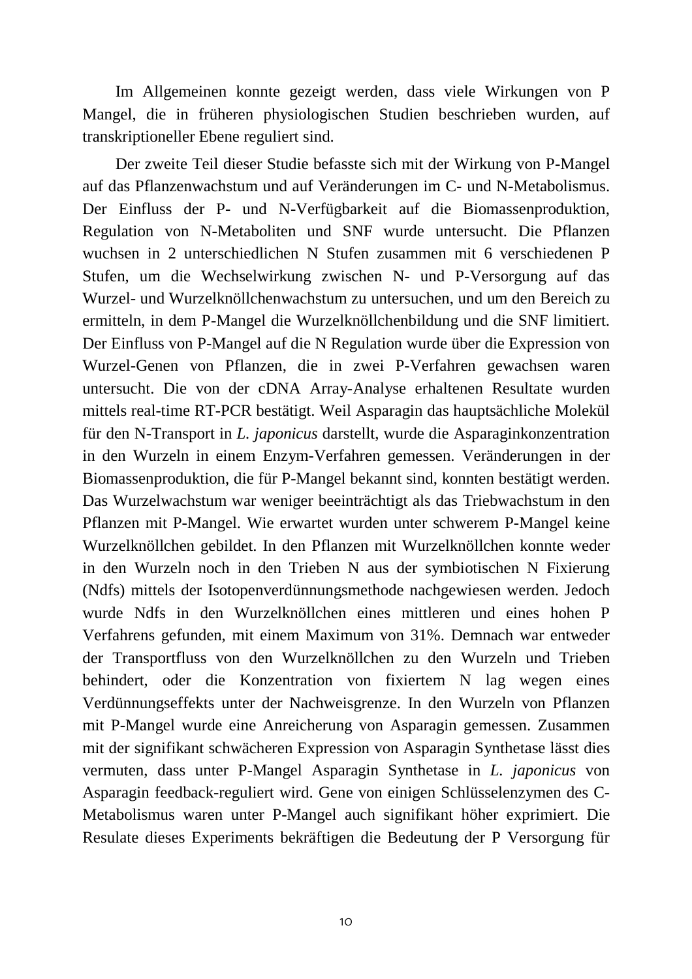Im Allgemeinen konnte gezeigt werden, dass viele Wirkungen von P Mangel, die in früheren physiologischen Studien beschrieben wurden, auf transkriptioneller Ebene reguliert sind.

Der zweite Teil dieser Studie befasste sich mit der Wirkung von P-Mangel auf das Pflanzenwachstum und auf Veränderungen im C- und N-Metabolismus. Der Einfluss der P- und N-Verfügbarkeit auf die Biomassenproduktion, Regulation von N-Metaboliten und SNF wurde untersucht. Die Pflanzen wuchsen in 2 unterschiedlichen N Stufen zusammen mit 6 verschiedenen P Stufen, um die Wechselwirkung zwischen N- und P-Versorgung auf das Wurzel- und Wurzelknöllchenwachstum zu untersuchen, und um den Bereich zu ermitteln, in dem P-Mangel die Wurzelknöllchenbildung und die SNF limitiert. Der Einfluss von P-Mangel auf die N Regulation wurde über die Expression von Wurzel-Genen von Pflanzen, die in zwei P-Verfahren gewachsen waren untersucht. Die von der cDNA Array-Analyse erhaltenen Resultate wurden mittels real-time RT-PCR bestätigt. Weil Asparagin das hauptsächliche Molekül für den N-Transport in *L. japonicus* darstellt, wurde die Asparaginkonzentration in den Wurzeln in einem Enzym-Verfahren gemessen. Veränderungen in der Biomassenproduktion, die für P-Mangel bekannt sind, konnten bestätigt werden. Das Wurzelwachstum war weniger beeinträchtigt als das Triebwachstum in den Pflanzen mit P-Mangel. Wie erwartet wurden unter schwerem P-Mangel keine Wurzelknöllchen gebildet. In den Pflanzen mit Wurzelknöllchen konnte weder in den Wurzeln noch in den Trieben N aus der symbiotischen N Fixierung (Ndfs) mittels der Isotopenverdünnungsmethode nachgewiesen werden. Jedoch wurde Ndfs in den Wurzelknöllchen eines mittleren und eines hohen P Verfahrens gefunden, mit einem Maximum von 31%. Demnach war entweder der Transportfluss von den Wurzelknöllchen zu den Wurzeln und Trieben behindert, oder die Konzentration von fixiertem N lag wegen eines Verdünnungseffekts unter der Nachweisgrenze. In den Wurzeln von Pflanzen mit P-Mangel wurde eine Anreicherung von Asparagin gemessen. Zusammen mit der signifikant schwächeren Expression von Asparagin Synthetase lässt dies vermuten, dass unter P-Mangel Asparagin Synthetase in *L. japonicus* von Asparagin feedback-reguliert wird. Gene von einigen Schlüsselenzymen des C-Metabolismus waren unter P-Mangel auch signifikant höher exprimiert. Die Resulate dieses Experiments bekräftigen die Bedeutung der P Versorgung für